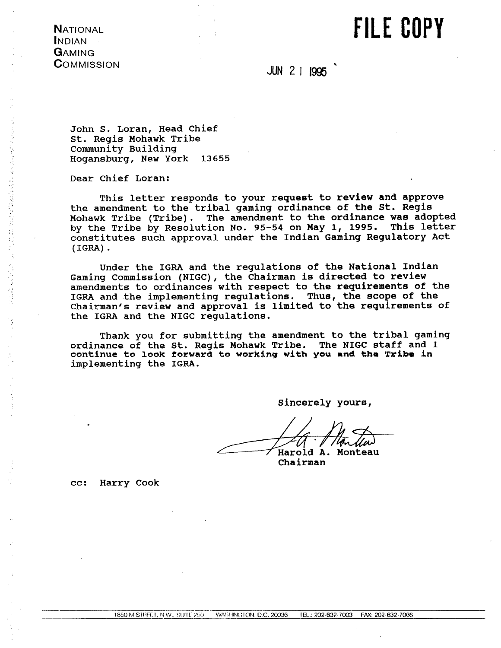**NATIONAL INDIAN GAMING COMMISSION** 

医甲基甲状腺性皮肤瘤 计传送程序 医第二指肠 计可分布 化分子体 经市场

# **FILE COPY**

 $JUN$  2 | 1995

John S. Loran, Head Chief St. Regis Mohawk Tribe Community Building Hogansburg, New York 13655

Dear Chief Loran:

This letter responds to your request to review and approve the amendment to the tribal gaming ordinance of the St. Regis Mohawk Tribe (Tribe). The amendment to the ordinance was adopted by the Tribe by Resolution No. 95-54 on May 1, 1995. This letter constitutes such approval under the Indian Gaming Regulatory Act  $(IGRA)$ .

Under the IGRA and the regulations of the National Indian Gaming Commission (NIGC), the Chairman is directed to review amendments to ordinances with respect to the requirements of the IGRA and the implementing regulations. Thus, the scope of the Chairman's review and approval is limited to the requirements of the IGRA and the NIGC regulations.

Thank you for submitting the amendment to the tribal gaming ordinance of the St. Regis Mohawk Tribe. The NIGC staff and I continue to look forward to working with you and the Tribe in implementing the IGRA.

Sincerely yours,

Harold A. Monteau

Chairman

Harry Cook  $cc:$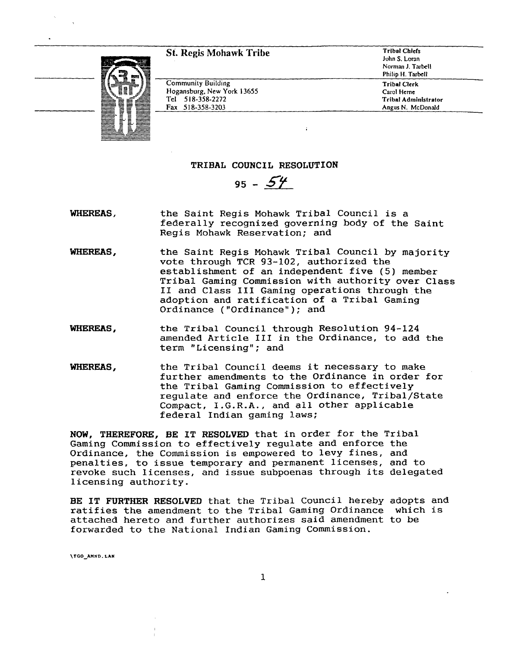## **St. Regis Mohawk Tribe Tribal Chiefs**



**Community** Building **Tribal** Clerk **Hogansburg, New York 13655 Carol Herne Tel 518-358-2272 TrIbal Administrator Fax 51 8-358-3203 Angus N. McDonald**

**John S. Loran Norman J. Tarbell Philip H. Tarbell**

**TRIBAL COUNCIL RESOLUTION**

**95-53**

- **WHEREAS, the Saint Regis Mohawk Tribal Council is a federally recognized governing body of the Saint Regis Mohawk Reservation; and**
- **the Saint Regis Mohawk Tribal Council by majority vote through TCR 93-102, authorized the establishment of an independent five (5) member Tribal Gaming Commission with authority over Class II and Class III Gaming operations through the adoption and ratification of a Tribal Gaming Ordinance** ("Ordinance"); and **WHEREAS,**
- **WHEREAS, the Tribal Council through Resolution 94-124 amended Article III in the Ordinance, to add the term Licensing; and**
- **the Tribal Council deems it necessary to make further amendments to the Ordinance in order for the Tribal Gaming Commission to effectively regulate and enforce the Ordinance, Tribal/State Compact, I.G.R.A., and all other applicable federal Indian gaming laws; WHEREAS,**

**NOW, THEREFORE, BE IT RESOLVED that in order for the Tribal Gaming Commission to effectively regulate and enforce the Ordinance, the Commission is empowered to levy fines, and penalties, to issue temporary and permanent licenses, and to revoke such licenses, and issue subpoenas through its delegated licensing authority.**

**BE IT FURTHER RESOLVED that the Tribal Council hereby adopts and ratifies the amendment to the Tribal Gaming Ordinance which is attached hereto and further authorizes said amendment to be forwarded to the National Indian Gaming Commission.**

**\TGO\_AMND. LAN**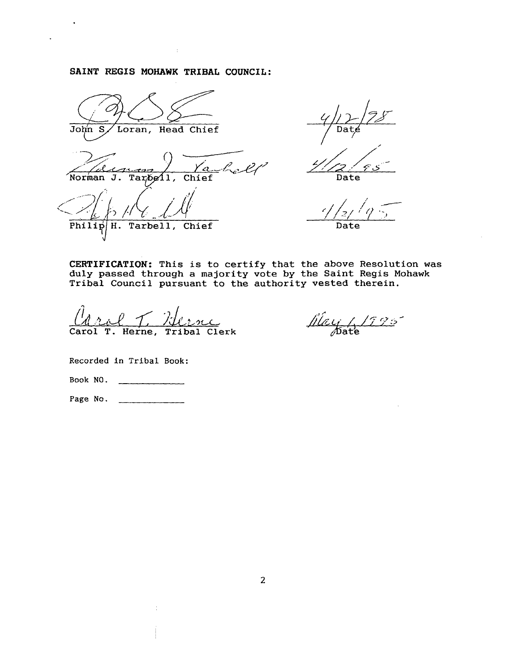## **SAINT REGIS MOHAWK TRIBAL COUNCIL:**

 $\sim$ 

John S Loran, Head Chief abell  $rac{1}{\text{Chief}}$ Norman J. Tarbell, Philip Tarbell, Chief H.



**Date**

**Date ~/(/ ~**

**CERTIFICATION: This is to certify that the above Resolution was duly passed through a majority vote by the Saint Regis Mohawk Tribal Council pursuant to the authority vested therein.**

**..) /** こって **Carol T. Herne, Tribal Clerk**

**It: <sup>~</sup> /7Y:,~ ~iDate**

**Recorded in Tribal Book:**

**Book NO. \_\_\_\_\_\_\_\_\_\_\_\_**

**Page No. \_\_\_\_\_\_\_\_\_\_\_\_**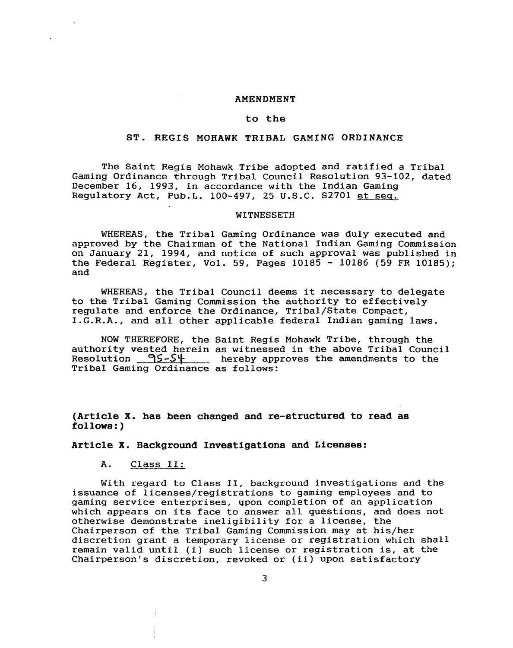#### **AMENDMENT**

#### **to the**

#### **ST. REGIS MOHAWK TRIBAL GAMING ORDINANCE**

**The Saint Regis Mohawk Tribe adopted and ratified a Tribal Gaming Ordinance through Tribal Council Resolution 93-102, dated December 16, 1993, in accordance with the Indian Gaming Regulatory Act, Pub.L. 100-497, 25 U.S.C. S2701 et seq**

#### **WITNESSETH**

**WHEREAS, the Tribal Gaming Ordinance was duly executed and approved by the Chairman of the National Indian Gaming Commission on January 21, 1994, and notice of such approval was published in the Federal Register, Vol. 59, Pages 10185 - 10186 (59 FR 10185); and**

**WHEREAS, the Tribal Council deems it necessary to delegate to the Tribal Gaming Commission the authority to effectively regulate and enforce the Ordinance, Tribal/State Compact, I.G.R.A., and all other applicable federal Indian gaming laws.**

**NOW THEREFORE, the Saint Regis Mohawk Tribe, through the authority vested herein as witnessed in the above Tribal Council Resolution 95-54** hereby approves the amendments to the **Tribal Gaming Ordinance as follows:**

**(Article X. has been changed and restructured to read as follows:)**

**Article X. Background Investigations and Licenses:**

**A. Class II**

**With regard to Class II, background investigations and the issuance of licenses/registrations to gaming employees and to gaming service enterprises, upon completion of an application which appears on its face to answer all questions, and does not otherwise demonstrate ineligibility for a license, the Chairperson of the Tribal Gaming Commission may at his/her discretion grant a temporary license or registration which shall remain valid until (1) such license or registration is, at the** Chairperson's discretion, revoked or (ii) upon satisfactory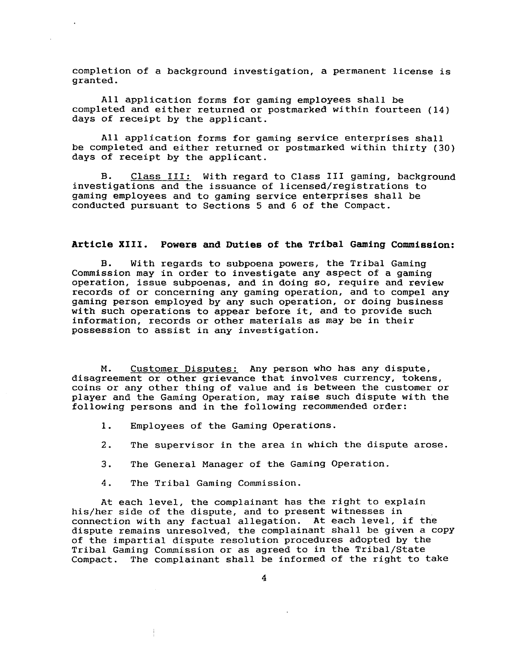**completion of a background investigation, a permanent license is granted.**

**All application forms for gaming employees shall be completed and either returned or postmarked within fourteen (14) days of receipt by the applicant.**

**All application forms for gaming service enterprises shall be completed and either returned or postmarked within thirty (30) days of receipt by the applicant.**

**B. Class III With regard to Class III gaming, background investigations and the issuance of licensed/registrations to gaming employees and to gaming service enterprises shall be conducted pursuant to Sections <sup>5</sup> and <sup>6</sup> of the Compact.**

### **Article XIII. Powers and Duties of the Tribal Gaining Commission:**

**B. With regards to subpoena powers, the Tribal Gaming Commission may in order to investigate any aspect of a gaming operation, issue subpoenas, and in doing so, require and review records of or concerning any gaming operation, and to compel any gaming person employed by any such operation, or doing business with such operations to appear before it, and to provide such information, records or other materials as may be in their possession to assist in any investigation.**

**M. Customer Disputes Any person who has any dispute, disagreement or other grievance that involves currency, tokens, coins or any other thing of value and is between the customer or player and the Gaming Operation, may raise such dispute with the following persons and in the following recommended order:**

- **1. Employees of the Gaming Operations.**
- **2. The supervisor in the area in which the dispute arose.**
- **3. The General Manager of the Gaming Operation.**
- **4. The Tribal Gaming Commission.**

**At each level, the complainant has the right to explain his/her side of the dispute, and to present witnesses in connection with any factual allegation. At each level, if the dispute remains unresolved, the complainant shall be given a copy of the impartial dispute resolution procedures adopted by the Tribal Gaming Commission or as agreed to in the Tribal/State Compact. The complainant shall be informed of the right to take**

**4**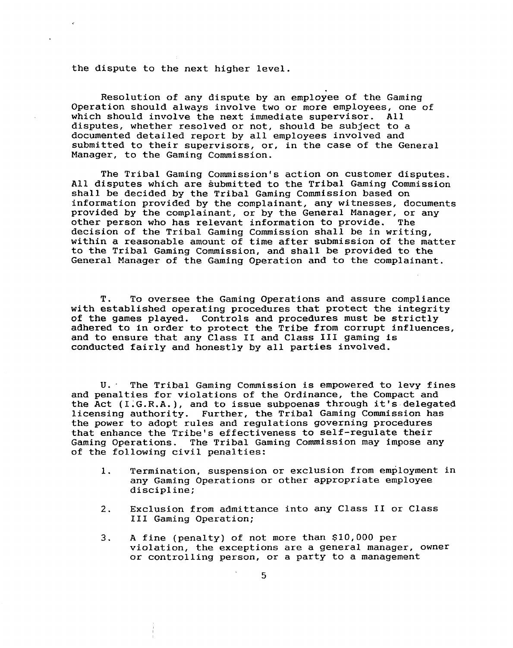**the dispute to the next higher level.**

**Resolution of any dispute by an employee of the Gaming Operation should always involve two or more employees, one of which should involve the next immediate supervisor. All disputes, whether resolved or not, should be subject to a documented detailed report by all employees involved and submitted to their supervisors, or, in the case of the General Manager, to the Gaming Commission.**

**The Tribal Gaming Commission's action on customer disputes. All disputes which are ~ubmitted to the Tribal Gaining Commission shall be decided by the Tribal Gaming Commission based on information provided by the complainant, any witnesses, documents provided by the complainant, or by the General Manager, or any other person who has relevant information to provide. The decision of the Tribal Gaming Commission shall be in writing, within a reasonable amount of time after submission of the matter to the Tribal Gaming Commission, and shall be provided to the General Manager of the Gaming Operation and to the complainant.**

**T. To oversee the Gaming Operations and assure compliance with established operating procedures that protect the integrity of the games played. Controls and procedures must be strictly adhered to in order to protect the Tribe from corrupt influences, and to ensure that any Class II and Class III gaming Is conducted fairly and honestly by all parties involved.**

**U. - The Tribal Gaming Commission is empowered to levy fines and penalties for violations of the Ordinance, the Compact and the Act (ILG.R.A.), and to issue subpoenas through its.delegated licensing authority. Further, the Tribal Gaming Commission has the power to adopt rules and regulations governing procedures that** enhance the Tribe's effectiveness to self-regulate their **Gaming Operations. The Tribal Gaming Commission may impose any of the following civil penalties:**

- **1. Termination, suspension or exclusion from employment in any Gaming Operations or other appropriate employee discipline;**
- **2. Exclusion from admittance into any Class II or Class III Gaming Operation;**
- **3. A fine (penalty) of not more than \$10,000 per violation, the exceptions are a general manager, owner or controlling person, or a party to a management**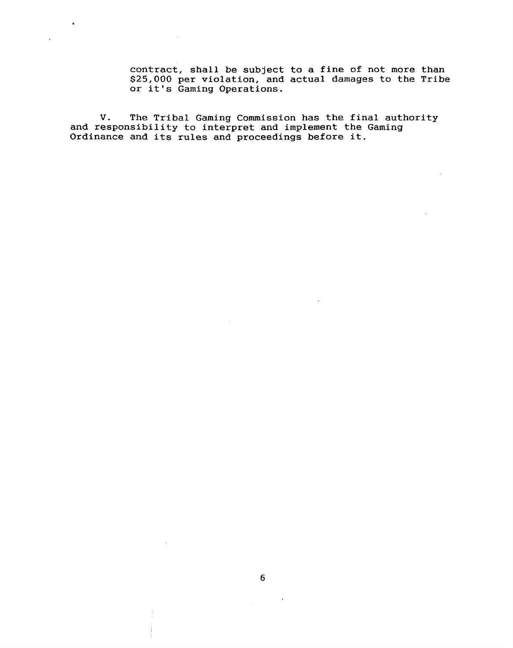**contract, shall be subject to a fine of not more than \$25,000 per violation, and actual damages to the Tribe or its Gaming Operations.**

**V. The Tribal Gaming Commission has the final authority and responsibility to interpret and implement the Gaming Ordinance and its rules and proceedings before it.**

 $\sim$   $\sim$ 

 $\ddot{\phantom{a}}$